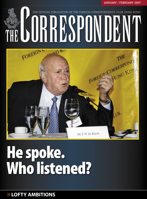**JANUARY / FEBRUARY 2007**

THE

**RREST KOT** 

FOREIGN CORRESPONT

THE FOREIGN CORRESPONDENTS' CLUB, HONG KONG

## Mr F W de Klerk

THE OFFICIAL PUBLICATION OF THE FOREIGN CORRESPONDENTS' CLUB, HONG

## He spoke. Who listened?

>> **LOFTY AMBITIONS**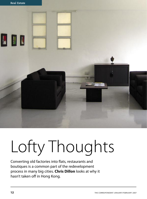

## Lofty Thoughts

Converting old factories into flats, restaurants and boutiques is a common part of the redevelopment process in many big cities. **Chris Dillon** looks at why it hasn't taken off in Hong Kong.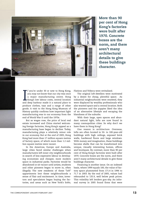

More than 90 per cent of Hong Kong's factories were built after 1970. Concrete boxes are the norm, and there aren't many architectural details to give these buildings character.

I f you're under 30 or new to Hong Kong, you may not know that our city was once a major manufacturing centre. Hong Kong's low labour costs, central location and deep harbour made it a natural place to f you're under 30 or new to Hong Kong, you may not know that our city was once a major manufacturing centre. Hong Kong's low labour costs, central location produce clothes, toys and a range of other goods. A visit to the Hong Kong Museum of History quickly confirms how important light manufacturing was to our economy from the end of World War II until the 1970s.

But as wages rose, the price of local real estate increased and China started welcoming foreign factories, Hong Kong's appeal as a manufacturing base began to decline. Today, manufacturing plays a relatively minor role in our economy. But at the end of 2005, Hong Kong had more than 17 million square metres of factory space, of which more than 1.2 million square metres were vacant.

In the Americas, Europe and Australia, large cities faced similar challenges when manufacturers left inner city neighbourhoods in search of less expensive labour in developing economies and cheaper, more modern space in industrial parks. Factories would be abandoned or sit vacant until artists, students and other pioneers began to move in, often illegally. The new residents of these "loft" appartments lent these neighbourhoods a sense of flair and excitement. In time, investors and speculators began buying the factories, and areas such as New York's SoHo,

Flatiron and Tribeca were revitalised.

The original loft-dwellers were motivated by a desire for cheap, plentiful space. As industrial neigbourhoods were renewed, they were displaced by wealthy professionals who also wanted space and a central location. Both the pioneers and the yuppies liked the idea of an alternative lifestyle and escaping the blandness of the suburbs.

With their large, open spaces and abundant natural light, lofts are now found in many cosmopolitan cities. So why don't we have them in Hong Kong?

One reason is architecture. Overseas, lofts are often located in 50- to 100-year-old buildings with high ceilings, exposed brick walls, hardwood floors and large windows. With money and imagination, these buildings become shells that can be transformed into unique, visually interesting homes, offices and boutiques. By contrast, more than 90 per cent of Hong Kong's factories were built after 1970. Concrete boxes are the norm, and there aren't many architectural details to give these buildings character.

Financing is another issue. On an indexed basis, where 1999 equals 100, the value of factory space plummeted from 171.4 in 1996 to 71.7 in 2003. By the end of 2005, values had rebounded to 135.9, well below peak prices. This volatility left lenders gun-shy. An informal survey in 2005 found firms that were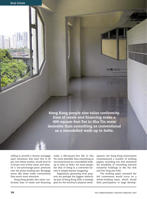Hong Kong people also value conformity. Ease of resale and financing make a 400-square-foot flat in Sha Tin more desirable than something as conventional as a remodelled walk-up in SoHo.

willing to provide a factory mortgage used valuations that were five to 40 per cent below market, would lend 50 to 60 per cent of that value, and wanted a one-percentage-point premium over the prime lending rate. Mortgage terms like these make conventional flats much more attractive.

Hong Kong people also value conformity. Ease of resale and financing make a 400-square-foot flat in Sha Tin more desirable than something as unconventional as a remodelled walkup in Soho or Noho. For most people, the idea of living in a converted factory is simply beyond imagining.

Regulations governing local property are perhaps the biggest obstacle. As part of Hong Kong 2030, a strategic plan for the territory's physical development, the Hong Kong Government commissioned a number of working papers, including one that examined the feasibility of converting selected industrial buildings in Ma Tau Kok and Yau Tong into lofts.

The working paper assumed the loft conversions would occur on a whole-building basis, which would limit participation to large develop-